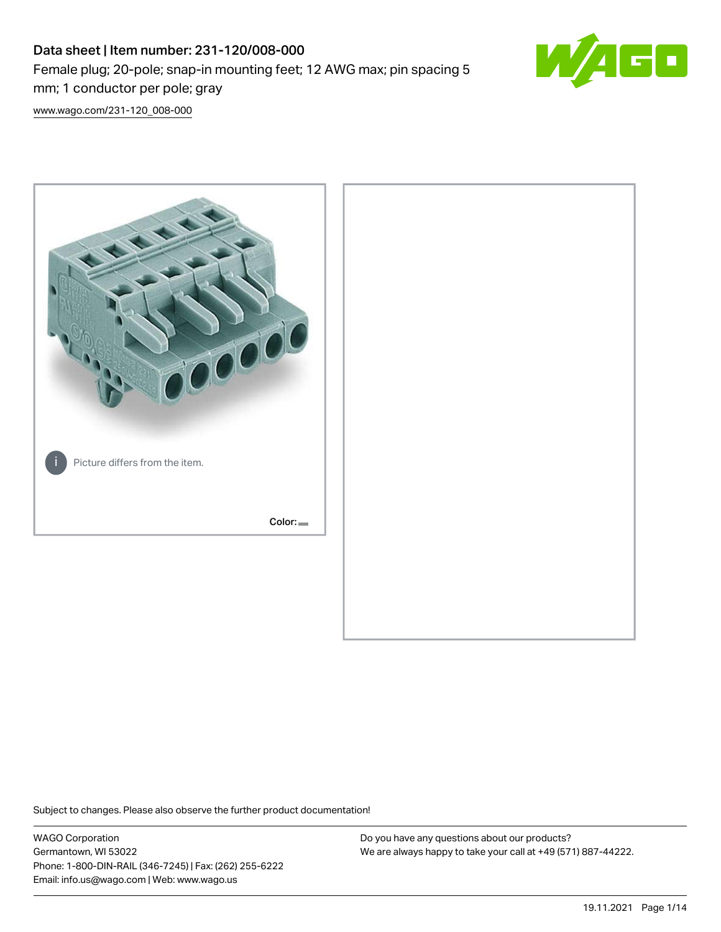# Data sheet | Item number: 231-120/008-000 Female plug; 20-pole; snap-in mounting feet; 12 AWG max; pin spacing 5 mm; 1 conductor per pole; gray



[www.wago.com/231-120\\_008-000](http://www.wago.com/231-120_008-000)



Subject to changes. Please also observe the further product documentation!

WAGO Corporation Germantown, WI 53022 Phone: 1-800-DIN-RAIL (346-7245) | Fax: (262) 255-6222 Email: info.us@wago.com | Web: www.wago.us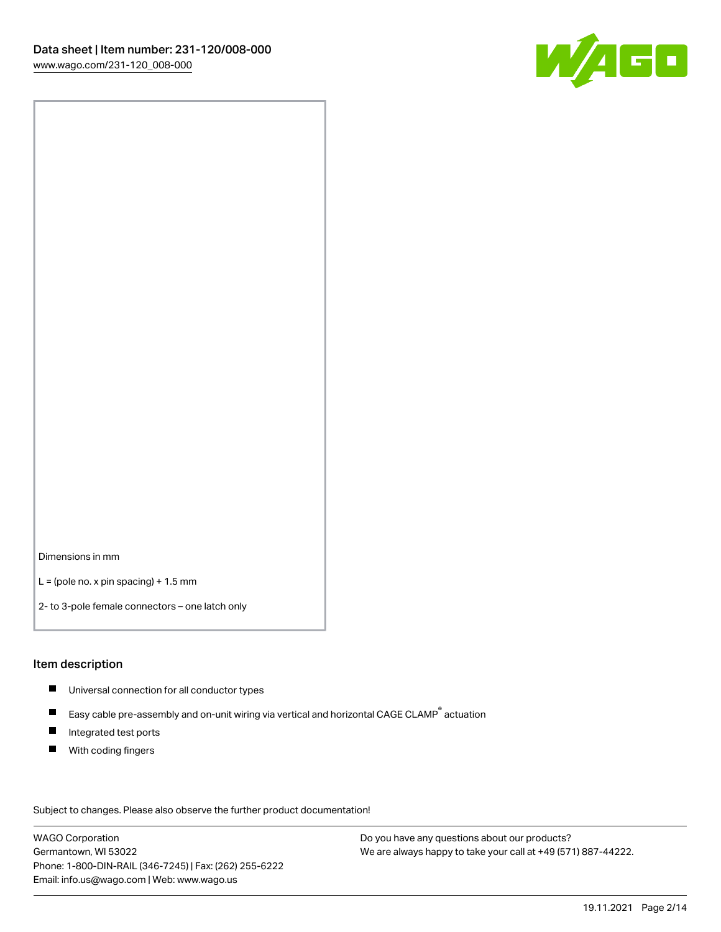

Dimensions in mm

 $L =$  (pole no. x pin spacing) + 1.5 mm

2- to 3-pole female connectors – one latch only

#### Item description

- **Universal connection for all conductor types**
- Easy cable pre-assembly and on-unit wiring via vertical and horizontal CAGE CLAMP<sup>®</sup> actuation  $\blacksquare$
- $\blacksquare$ Integrated test ports
- $\blacksquare$ With coding fingers

Subject to changes. Please also observe the further product documentation! Data

WAGO Corporation Germantown, WI 53022 Phone: 1-800-DIN-RAIL (346-7245) | Fax: (262) 255-6222 Email: info.us@wago.com | Web: www.wago.us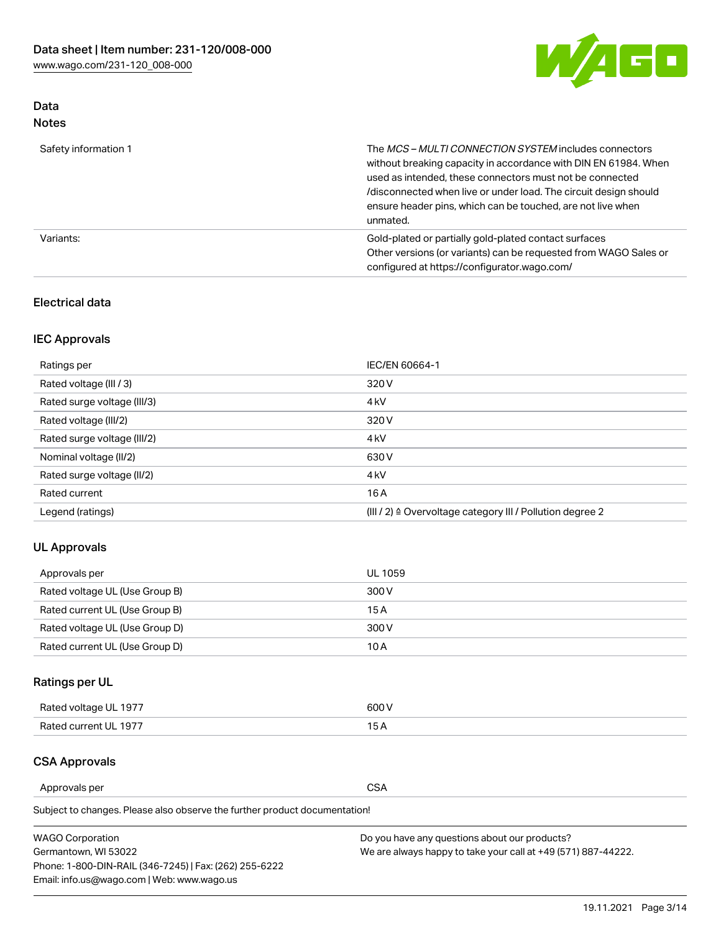

### Data Notes

| Safety information 1 | The MCS-MULTI CONNECTION SYSTEM includes connectors<br>without breaking capacity in accordance with DIN EN 61984. When<br>used as intended, these connectors must not be connected<br>/disconnected when live or under load. The circuit design should<br>ensure header pins, which can be touched, are not live when<br>unmated. |
|----------------------|-----------------------------------------------------------------------------------------------------------------------------------------------------------------------------------------------------------------------------------------------------------------------------------------------------------------------------------|
| Variants:            | Gold-plated or partially gold-plated contact surfaces<br>Other versions (or variants) can be requested from WAGO Sales or<br>configured at https://configurator.wago.com/                                                                                                                                                         |

### Electrical data

### IEC Approvals

| Ratings per                 | IEC/EN 60664-1                                                        |
|-----------------------------|-----------------------------------------------------------------------|
| Rated voltage (III / 3)     | 320 V                                                                 |
| Rated surge voltage (III/3) | 4 <sub>k</sub> V                                                      |
| Rated voltage (III/2)       | 320 V                                                                 |
| Rated surge voltage (III/2) | 4 <sub>k</sub> V                                                      |
| Nominal voltage (II/2)      | 630 V                                                                 |
| Rated surge voltage (II/2)  | 4 <sub>k</sub> V                                                      |
| Rated current               | 16A                                                                   |
| Legend (ratings)            | $(III / 2)$ $\triangle$ Overvoltage category III / Pollution degree 2 |

### UL Approvals

| Approvals per                  | UL 1059 |
|--------------------------------|---------|
| Rated voltage UL (Use Group B) | 300 V   |
| Rated current UL (Use Group B) | 15 A    |
| Rated voltage UL (Use Group D) | 300 V   |
| Rated current UL (Use Group D) | 10 A    |

## Ratings per UL

| Rated voltage UL 1977 | 600 V         |
|-----------------------|---------------|
| Rated current UL 1977 | $\sim$ $\sim$ |

### CSA Approvals

Approvals per CSA

Subject to changes. Please also observe the further product documentation!

| <b>WAGO Corporation</b>                                | Do you have any questions about our products?                 |
|--------------------------------------------------------|---------------------------------------------------------------|
| Germantown, WI 53022                                   | We are always happy to take your call at +49 (571) 887-44222. |
| Phone: 1-800-DIN-RAIL (346-7245)   Fax: (262) 255-6222 |                                                               |
| Email: info.us@wago.com   Web: www.wago.us             |                                                               |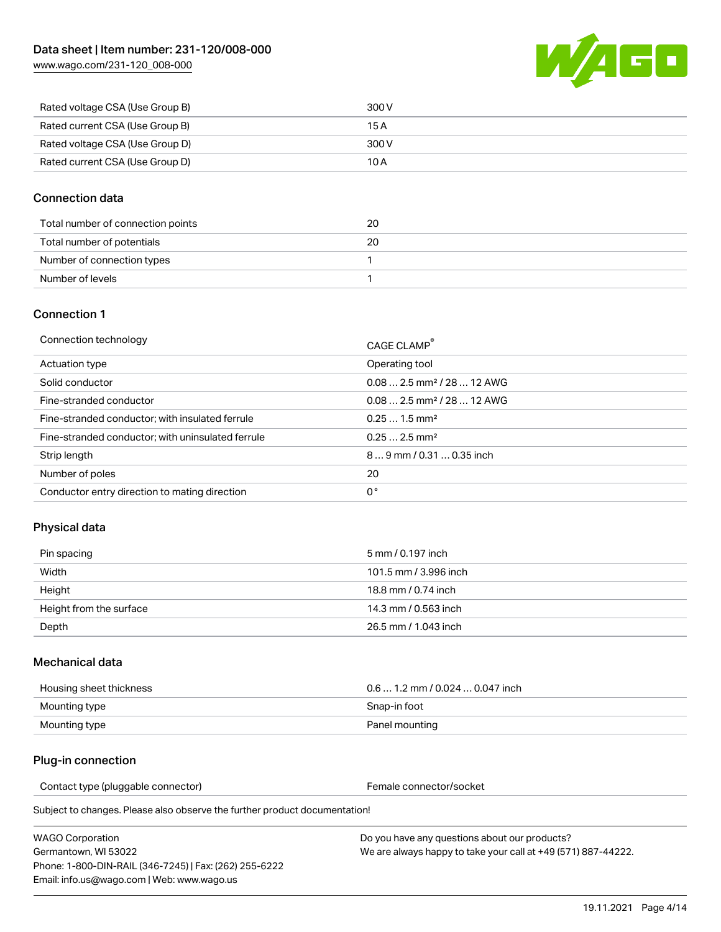[www.wago.com/231-120\\_008-000](http://www.wago.com/231-120_008-000)



| Rated voltage CSA (Use Group B) | 300 V |
|---------------------------------|-------|
| Rated current CSA (Use Group B) | 15 A  |
| Rated voltage CSA (Use Group D) | 300 V |
| Rated current CSA (Use Group D) | 10 A  |

### Connection data

| Total number of connection points | 20 |
|-----------------------------------|----|
| Total number of potentials        | 20 |
| Number of connection types        |    |
| Number of levels                  |    |

#### Connection 1

| Connection technology                             | CAGE CLAMP®                             |
|---------------------------------------------------|-----------------------------------------|
| Actuation type                                    | Operating tool                          |
| Solid conductor                                   | $0.082.5$ mm <sup>2</sup> / 28  12 AWG  |
| Fine-stranded conductor                           | $0.08$ 2.5 mm <sup>2</sup> / 28  12 AWG |
| Fine-stranded conductor; with insulated ferrule   | $0.251.5$ mm <sup>2</sup>               |
| Fine-stranded conductor; with uninsulated ferrule | $0.252.5$ mm <sup>2</sup>               |
| Strip length                                      | $89$ mm $/ 0.310.35$ inch               |
| Number of poles                                   | 20                                      |
| Conductor entry direction to mating direction     | 0°                                      |

### Physical data

| Pin spacing             | 5 mm / 0.197 inch     |
|-------------------------|-----------------------|
| Width                   | 101.5 mm / 3.996 inch |
| Height                  | 18.8 mm / 0.74 inch   |
| Height from the surface | 14.3 mm / 0.563 inch  |
| Depth                   | 26.5 mm / 1.043 inch  |

#### Mechanical data

| Housing sheet thickness | $0.61.2$ mm $/0.0240.047$ inch |
|-------------------------|--------------------------------|
| Mounting type           | Snap-in foot                   |
| Mounting type           | Panel mounting                 |

### Plug-in connection

Contact type (pluggable connector) example a set of the Female connector/socket

Subject to changes. Please also observe the further product documentation!

| WAGO Corporation                                       |  |
|--------------------------------------------------------|--|
| Germantown. WI 53022                                   |  |
| Phone: 1-800-DIN-RAIL (346-7245)   Fax: (262) 255-6222 |  |
| Email: info.us@wago.com   Web: www.wago.us             |  |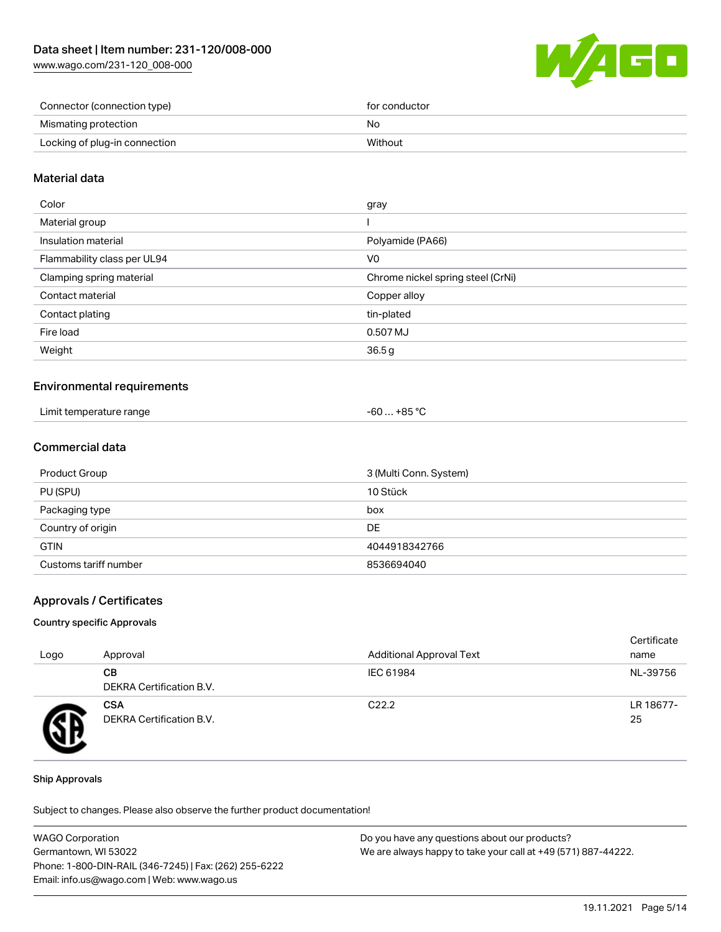[www.wago.com/231-120\\_008-000](http://www.wago.com/231-120_008-000)



| Connector (connection type)   | for conductor |
|-------------------------------|---------------|
| Mismating protection          | No            |
| Locking of plug-in connection | Without       |

#### Material data

| Color                       | gray                              |
|-----------------------------|-----------------------------------|
| Material group              |                                   |
| Insulation material         | Polyamide (PA66)                  |
| Flammability class per UL94 | V <sub>0</sub>                    |
| Clamping spring material    | Chrome nickel spring steel (CrNi) |
| Contact material            | Copper alloy                      |
| Contact plating             | tin-plated                        |
| Fire load                   | 0.507 MJ                          |
| Weight                      | 36.5g                             |
|                             |                                   |

#### Environmental requirements

| Limit temperature range<br>. | +85 °C<br>-60 … |  |
|------------------------------|-----------------|--|
|------------------------------|-----------------|--|

### Commercial data

| Product Group         | 3 (Multi Conn. System) |
|-----------------------|------------------------|
| PU (SPU)              | 10 Stück               |
| Packaging type        | box                    |
| Country of origin     | DE                     |
| <b>GTIN</b>           | 4044918342766          |
| Customs tariff number | 8536694040             |

#### Approvals / Certificates

#### Country specific Approvals

| Logo | Approval                               | <b>Additional Approval Text</b> | Certificate<br>name |
|------|----------------------------------------|---------------------------------|---------------------|
|      | CВ<br><b>DEKRA Certification B.V.</b>  | IEC 61984                       | NL-39756            |
|      | <b>CSA</b><br>DEKRA Certification B.V. | C <sub>22.2</sub>               | LR 18677-<br>25     |

#### Ship Approvals

Subject to changes. Please also observe the further product documentation!

| <b>WAGO Corporation</b>                                | Do you have any questions about our products?                 |
|--------------------------------------------------------|---------------------------------------------------------------|
| Germantown, WI 53022                                   | We are always happy to take your call at +49 (571) 887-44222. |
| Phone: 1-800-DIN-RAIL (346-7245)   Fax: (262) 255-6222 |                                                               |
| Email: info.us@wago.com   Web: www.wago.us             |                                                               |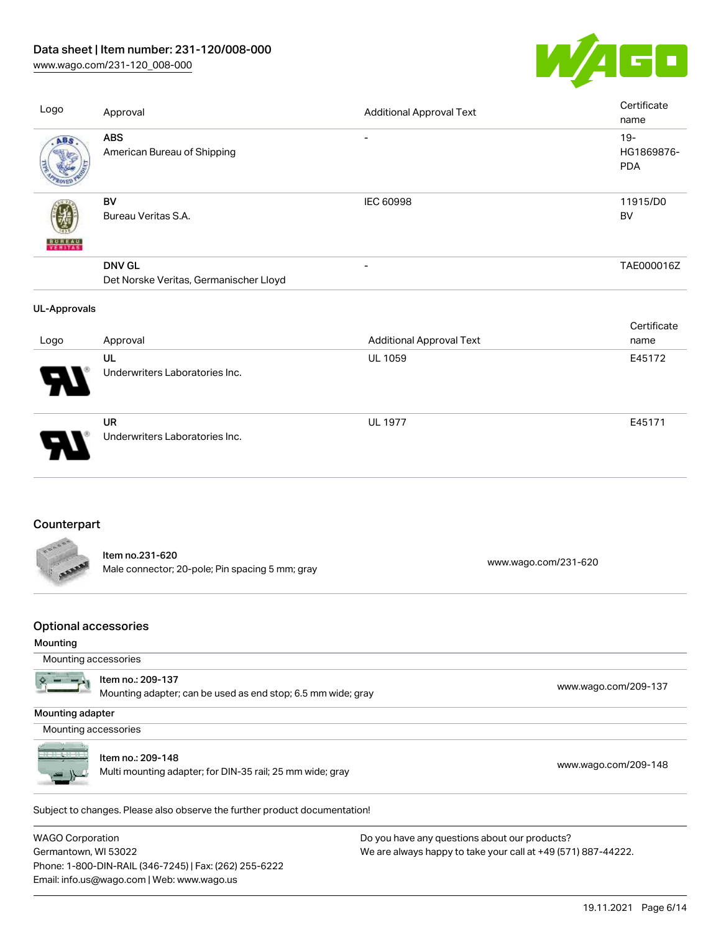# Data sheet | Item number: 231-120/008-000

[www.wago.com/231-120\\_008-000](http://www.wago.com/231-120_008-000)



| Logo                                    | Approval                                                                          | <b>Additional Approval Text</b> |                      | Certificate<br>name                |
|-----------------------------------------|-----------------------------------------------------------------------------------|---------------------------------|----------------------|------------------------------------|
| ABS                                     | <b>ABS</b><br>American Bureau of Shipping                                         |                                 |                      | $19 -$<br>HG1869876-<br><b>PDA</b> |
|                                         | <b>BV</b><br>Bureau Veritas S.A.                                                  | IEC 60998                       |                      | 11915/D0<br><b>BV</b>              |
|                                         | <b>DNV GL</b><br>Det Norske Veritas, Germanischer Lloyd                           | $\overline{a}$                  |                      | TAE000016Z                         |
| <b>UL-Approvals</b>                     |                                                                                   |                                 |                      | Certificate                        |
| Logo                                    | Approval                                                                          | <b>Additional Approval Text</b> |                      | name                               |
|                                         | UL<br>Underwriters Laboratories Inc.                                              | <b>UL 1059</b>                  |                      | E45172                             |
|                                         | <b>UR</b><br>Underwriters Laboratories Inc.                                       | <b>UL 1977</b>                  |                      | E45171                             |
| Counterpart                             |                                                                                   |                                 |                      |                                    |
|                                         | Item no.231-620<br>Male connector; 20-pole; Pin spacing 5 mm; gray                |                                 | www.wago.com/231-620 |                                    |
| <b>Optional accessories</b><br>Mounting |                                                                                   |                                 |                      |                                    |
| Mounting accessories                    |                                                                                   |                                 |                      |                                    |
|                                         | Item no.: 209-137<br>Mounting adapter; can be used as end stop; 6.5 mm wide; gray |                                 |                      | www.wago.com/209-137               |

Mounting adapter

Mounting accessories



Item no.: 209-148

nem no.. 209-146<br>Multi mounting adapter; for DIN-35 rail; 25 mm wide; gray [www.wago.com/209-148](http://www.wago.com/209-148)

Subject to changes. Please also observe the further product documentation! Tools

WAGO Corporation Germantown, WI 53022 Phone: 1-800-DIN-RAIL (346-7245) | Fax: (262) 255-6222 Email: info.us@wago.com | Web: www.wago.us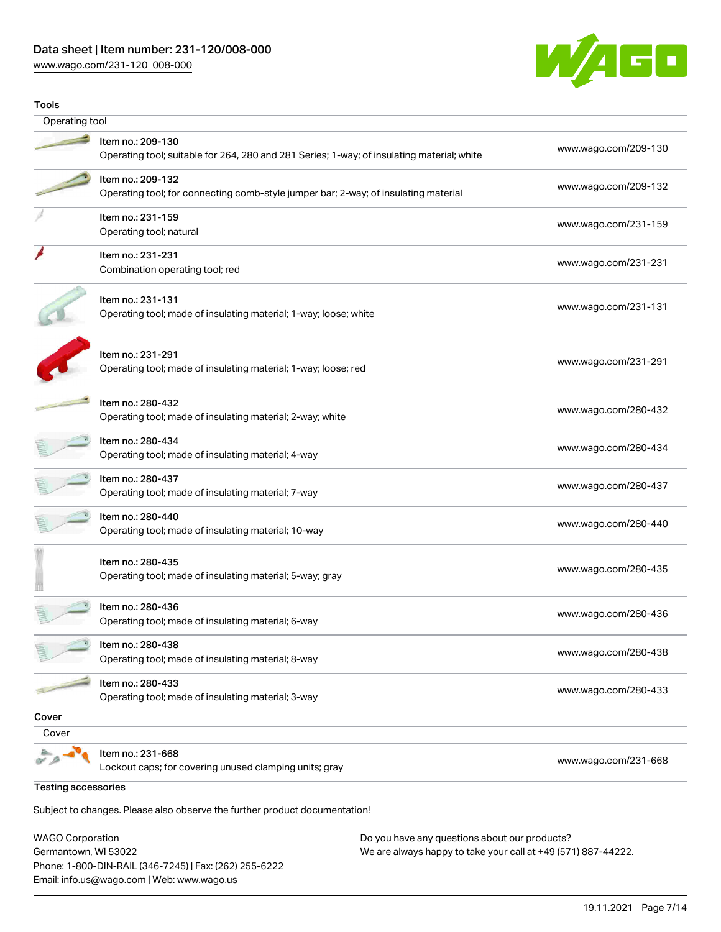### Data sheet | Item number: 231-120/008-000

Phone: 1-800-DIN-RAIL (346-7245) | Fax: (262) 255-6222

Email: info.us@wago.com | Web: www.wago.us

[www.wago.com/231-120\\_008-000](http://www.wago.com/231-120_008-000)



| Tools                                           |                                                                                                                 |                                                                                                                |
|-------------------------------------------------|-----------------------------------------------------------------------------------------------------------------|----------------------------------------------------------------------------------------------------------------|
| Operating tool                                  |                                                                                                                 |                                                                                                                |
|                                                 | Item no.: 209-130<br>Operating tool; suitable for 264, 280 and 281 Series; 1-way; of insulating material; white | www.wago.com/209-130                                                                                           |
|                                                 | Item no.: 209-132<br>Operating tool; for connecting comb-style jumper bar; 2-way; of insulating material        | www.wago.com/209-132                                                                                           |
|                                                 | Item no.: 231-159<br>Operating tool; natural                                                                    | www.wago.com/231-159                                                                                           |
|                                                 | Item no.: 231-231<br>Combination operating tool; red                                                            | www.wago.com/231-231                                                                                           |
|                                                 | Item no.: 231-131<br>Operating tool; made of insulating material; 1-way; loose; white                           | www.wago.com/231-131                                                                                           |
|                                                 | Item no.: 231-291<br>Operating tool; made of insulating material; 1-way; loose; red                             | www.wago.com/231-291                                                                                           |
|                                                 | Item no.: 280-432<br>Operating tool; made of insulating material; 2-way; white                                  | www.wago.com/280-432                                                                                           |
|                                                 | Item no.: 280-434<br>Operating tool; made of insulating material; 4-way                                         | www.wago.com/280-434                                                                                           |
|                                                 | Item no.: 280-437<br>Operating tool; made of insulating material; 7-way                                         | www.wago.com/280-437                                                                                           |
|                                                 | ltem no.: 280-440<br>Operating tool; made of insulating material; 10-way                                        | www.wago.com/280-440                                                                                           |
|                                                 | Item no.: 280-435<br>Operating tool; made of insulating material; 5-way; gray                                   | www.wago.com/280-435                                                                                           |
|                                                 | Item no.: 280-436<br>Operating tool; made of insulating material; 6-way                                         | www.wago.com/280-436                                                                                           |
|                                                 | Item no.: 280-438<br>Operating tool; made of insulating material; 8-way                                         | www.wago.com/280-438                                                                                           |
|                                                 | Item no.: 280-433<br>Operating tool; made of insulating material; 3-way                                         | www.wago.com/280-433                                                                                           |
| Cover                                           |                                                                                                                 |                                                                                                                |
| Cover                                           | Item no.: 231-668<br>Lockout caps; for covering unused clamping units; gray                                     | www.wago.com/231-668                                                                                           |
| <b>Testing accessories</b>                      |                                                                                                                 |                                                                                                                |
|                                                 | Subject to changes. Please also observe the further product documentation!                                      |                                                                                                                |
| <b>WAGO Corporation</b><br>Germantown, WI 53022 |                                                                                                                 | Do you have any questions about our products?<br>We are always happy to take your call at +49 (571) 887-44222. |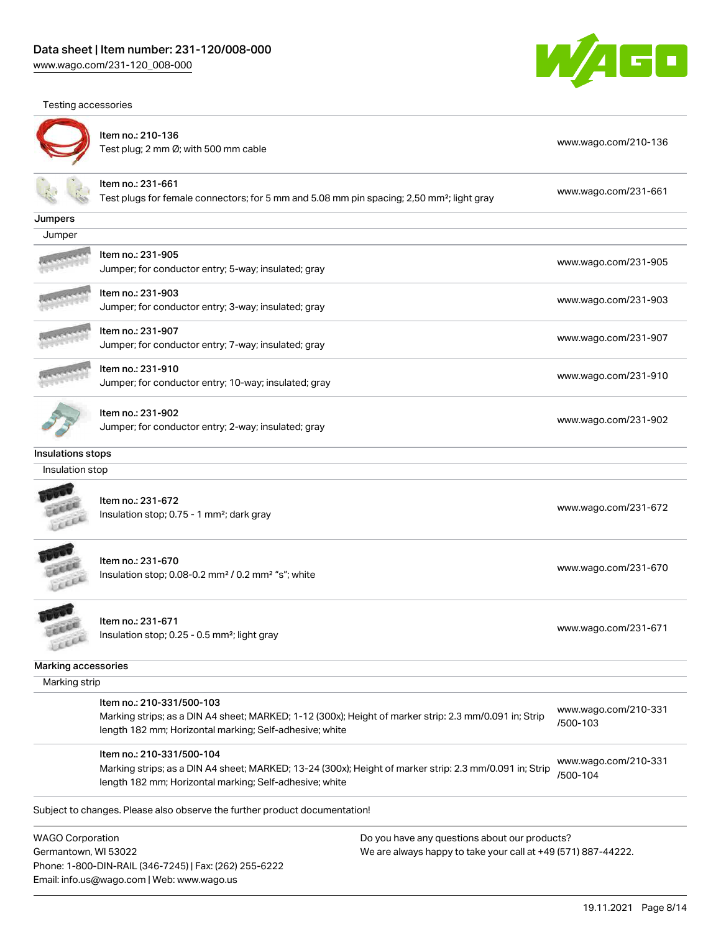Phone: 1-800-DIN-RAIL (346-7245) | Fax: (262) 255-6222

Email: info.us@wago.com | Web: www.wago.us

Testing accessories





|                                                 | Item no.: 210-136<br>Test plug; 2 mm Ø; with 500 mm cable                                                                                                                                       |                                                                                                                | www.wago.com/210-136             |
|-------------------------------------------------|-------------------------------------------------------------------------------------------------------------------------------------------------------------------------------------------------|----------------------------------------------------------------------------------------------------------------|----------------------------------|
|                                                 | Item no.: 231-661<br>Test plugs for female connectors; for 5 mm and 5.08 mm pin spacing; 2,50 mm <sup>2</sup> ; light gray                                                                      |                                                                                                                | www.wago.com/231-661             |
| Jumpers                                         |                                                                                                                                                                                                 |                                                                                                                |                                  |
| Jumper                                          |                                                                                                                                                                                                 |                                                                                                                |                                  |
|                                                 | ltem no.: 231-905<br>Jumper; for conductor entry; 5-way; insulated; gray                                                                                                                        |                                                                                                                | www.wago.com/231-905             |
|                                                 | ltem no.: 231-903<br>Jumper; for conductor entry; 3-way; insulated; gray                                                                                                                        |                                                                                                                | www.wago.com/231-903             |
|                                                 | ltem no.: 231-907<br>Jumper; for conductor entry; 7-way; insulated; gray                                                                                                                        |                                                                                                                | www.wago.com/231-907             |
|                                                 | Item no.: 231-910<br>Jumper; for conductor entry; 10-way; insulated; gray                                                                                                                       |                                                                                                                | www.wago.com/231-910             |
|                                                 | Item no.: 231-902<br>Jumper; for conductor entry; 2-way; insulated; gray                                                                                                                        |                                                                                                                | www.wago.com/231-902             |
| Insulations stops                               |                                                                                                                                                                                                 |                                                                                                                |                                  |
| Insulation stop                                 |                                                                                                                                                                                                 |                                                                                                                |                                  |
|                                                 | Item no.: 231-672<br>Insulation stop; 0.75 - 1 mm <sup>2</sup> ; dark gray                                                                                                                      |                                                                                                                | www.wago.com/231-672             |
|                                                 | Item no.: 231-670<br>Insulation stop; 0.08-0.2 mm <sup>2</sup> / 0.2 mm <sup>2</sup> "s"; white                                                                                                 |                                                                                                                | www.wago.com/231-670             |
| LEEL                                            | Item no.: 231-671<br>Insulation stop; 0.25 - 0.5 mm <sup>2</sup> ; light gray                                                                                                                   |                                                                                                                | www.wago.com/231-671             |
| Marking accessories                             |                                                                                                                                                                                                 |                                                                                                                |                                  |
| Marking strip                                   |                                                                                                                                                                                                 |                                                                                                                |                                  |
|                                                 | Item no.: 210-331/500-103<br>Marking strips; as a DIN A4 sheet; MARKED; 1-12 (300x); Height of marker strip: 2.3 mm/0.091 in; Strip<br>length 182 mm; Horizontal marking; Self-adhesive; white  |                                                                                                                | www.wago.com/210-331<br>/500-103 |
|                                                 | Item no.: 210-331/500-104<br>Marking strips; as a DIN A4 sheet; MARKED; 13-24 (300x); Height of marker strip: 2.3 mm/0.091 in; Strip<br>length 182 mm; Horizontal marking; Self-adhesive; white |                                                                                                                | www.wago.com/210-331<br>/500-104 |
|                                                 | Subject to changes. Please also observe the further product documentation!                                                                                                                      |                                                                                                                |                                  |
| <b>WAGO Corporation</b><br>Germantown, WI 53022 |                                                                                                                                                                                                 | Do you have any questions about our products?<br>We are always happy to take your call at +49 (571) 887-44222. |                                  |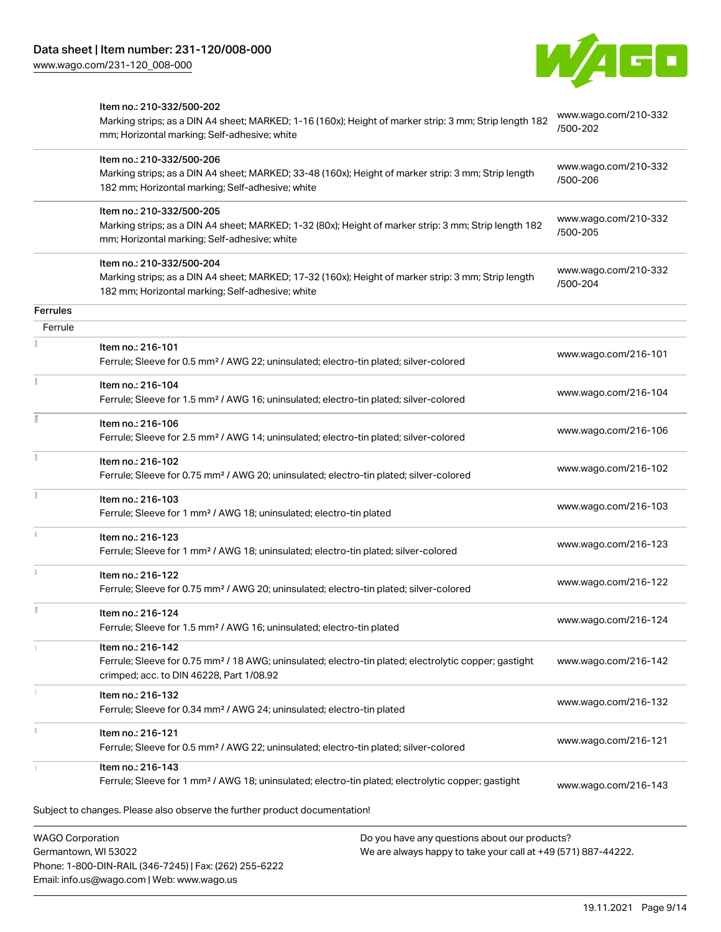Phone: 1-800-DIN-RAIL (346-7245) | Fax: (262) 255-6222

Email: info.us@wago.com | Web: www.wago.us



|                                                 | Item no.: 210-332/500-202<br>Marking strips; as a DIN A4 sheet; MARKED; 1-16 (160x); Height of marker strip: 3 mm; Strip length 182<br>mm; Horizontal marking; Self-adhesive; white  |                                                                                                                | www.wago.com/210-332<br>/500-202 |
|-------------------------------------------------|--------------------------------------------------------------------------------------------------------------------------------------------------------------------------------------|----------------------------------------------------------------------------------------------------------------|----------------------------------|
|                                                 | Item no.: 210-332/500-206<br>Marking strips; as a DIN A4 sheet; MARKED; 33-48 (160x); Height of marker strip: 3 mm; Strip length<br>182 mm; Horizontal marking; Self-adhesive; white |                                                                                                                | www.wago.com/210-332<br>/500-206 |
|                                                 | Item no.: 210-332/500-205<br>Marking strips; as a DIN A4 sheet; MARKED; 1-32 (80x); Height of marker strip: 3 mm; Strip length 182<br>mm; Horizontal marking; Self-adhesive; white   |                                                                                                                | www.wago.com/210-332<br>/500-205 |
|                                                 | Item no.: 210-332/500-204<br>Marking strips; as a DIN A4 sheet; MARKED; 17-32 (160x); Height of marker strip: 3 mm; Strip length<br>182 mm; Horizontal marking; Self-adhesive; white |                                                                                                                | www.wago.com/210-332<br>/500-204 |
| <b>Ferrules</b>                                 |                                                                                                                                                                                      |                                                                                                                |                                  |
| Ferrule                                         | Item no.: 216-101<br>Ferrule; Sleeve for 0.5 mm <sup>2</sup> / AWG 22; uninsulated; electro-tin plated; silver-colored                                                               |                                                                                                                | www.wago.com/216-101             |
|                                                 | Item no.: 216-104<br>Ferrule; Sleeve for 1.5 mm <sup>2</sup> / AWG 16; uninsulated; electro-tin plated; silver-colored                                                               |                                                                                                                | www.wago.com/216-104             |
|                                                 | Item no.: 216-106<br>Ferrule; Sleeve for 2.5 mm <sup>2</sup> / AWG 14; uninsulated; electro-tin plated; silver-colored                                                               |                                                                                                                | www.wago.com/216-106             |
|                                                 | Item no.: 216-102<br>Ferrule; Sleeve for 0.75 mm <sup>2</sup> / AWG 20; uninsulated; electro-tin plated; silver-colored                                                              |                                                                                                                | www.wago.com/216-102             |
|                                                 | Item no.: 216-103<br>Ferrule; Sleeve for 1 mm <sup>2</sup> / AWG 18; uninsulated; electro-tin plated                                                                                 |                                                                                                                | www.wago.com/216-103             |
|                                                 | Item no.: 216-123<br>Ferrule; Sleeve for 1 mm <sup>2</sup> / AWG 18; uninsulated; electro-tin plated; silver-colored                                                                 |                                                                                                                | www.wago.com/216-123             |
|                                                 | Item no.: 216-122<br>Ferrule; Sleeve for 0.75 mm <sup>2</sup> / AWG 20; uninsulated; electro-tin plated; silver-colored                                                              |                                                                                                                | www.wago.com/216-122             |
|                                                 | Item no.: 216-124<br>Ferrule; Sleeve for 1.5 mm <sup>2</sup> / AWG 16; uninsulated; electro-tin plated                                                                               |                                                                                                                | www.wago.com/216-124             |
|                                                 | Item no.: 216-142<br>Ferrule; Sleeve for 0.75 mm <sup>2</sup> / 18 AWG; uninsulated; electro-tin plated; electrolytic copper; gastight<br>crimped; acc. to DIN 46228, Part 1/08.92   |                                                                                                                | www.wago.com/216-142             |
|                                                 | Item no.: 216-132<br>Ferrule; Sleeve for 0.34 mm <sup>2</sup> / AWG 24; uninsulated; electro-tin plated                                                                              |                                                                                                                | www.wago.com/216-132             |
|                                                 | Item no.: 216-121<br>Ferrule; Sleeve for 0.5 mm <sup>2</sup> / AWG 22; uninsulated; electro-tin plated; silver-colored                                                               |                                                                                                                | www.wago.com/216-121             |
|                                                 | Item no.: 216-143<br>Ferrule; Sleeve for 1 mm <sup>2</sup> / AWG 18; uninsulated; electro-tin plated; electrolytic copper; gastight                                                  |                                                                                                                | www.wago.com/216-143             |
|                                                 | Subject to changes. Please also observe the further product documentation!                                                                                                           |                                                                                                                |                                  |
| <b>WAGO Corporation</b><br>Germantown, WI 53022 |                                                                                                                                                                                      | Do you have any questions about our products?<br>We are always happy to take your call at +49 (571) 887-44222. |                                  |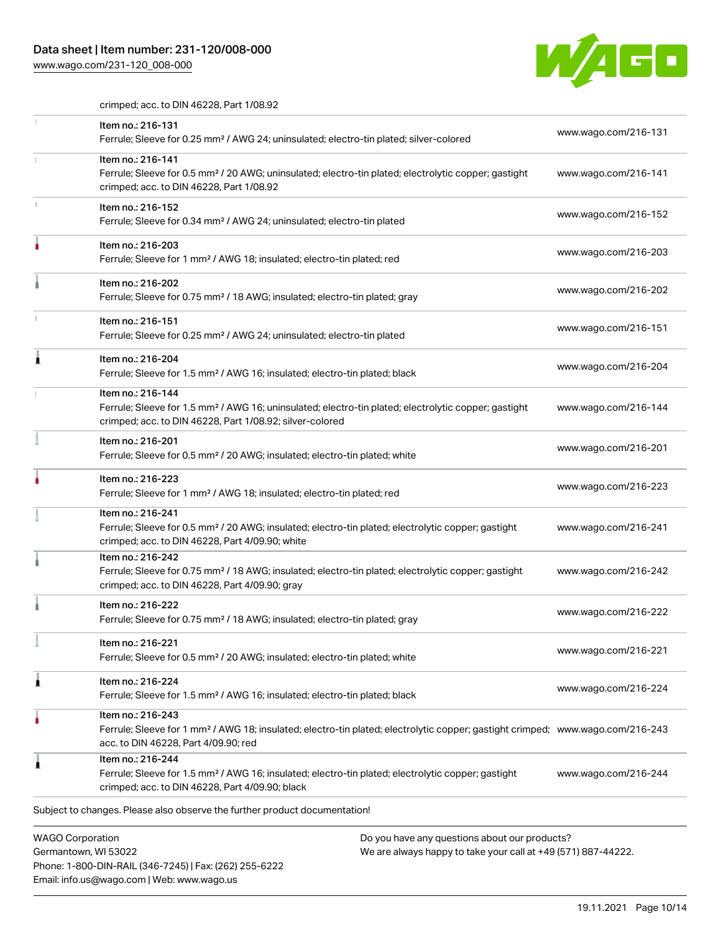### Data sheet | Item number: 231-120/008-000

Email: info.us@wago.com | Web: www.wago.us

[www.wago.com/231-120\\_008-000](http://www.wago.com/231-120_008-000)



crimped; acc. to DIN 46228, Part 1/08.92

|   | Item no.: 216-131<br>Ferrule; Sleeve for 0.25 mm <sup>2</sup> / AWG 24; uninsulated; electro-tin plated; silver-colored                                                                                                     | www.wago.com/216-131 |
|---|-----------------------------------------------------------------------------------------------------------------------------------------------------------------------------------------------------------------------------|----------------------|
|   | Item no.: 216-141<br>Ferrule; Sleeve for 0.5 mm <sup>2</sup> / 20 AWG; uninsulated; electro-tin plated; electrolytic copper; gastight<br>crimped; acc. to DIN 46228, Part 1/08.92                                           | www.wago.com/216-141 |
|   | Item no.: 216-152<br>Ferrule; Sleeve for 0.34 mm <sup>2</sup> / AWG 24; uninsulated; electro-tin plated                                                                                                                     | www.wago.com/216-152 |
|   | Item no.: 216-203<br>Ferrule; Sleeve for 1 mm <sup>2</sup> / AWG 18; insulated; electro-tin plated; red                                                                                                                     | www.wago.com/216-203 |
|   | Item no.: 216-202<br>Ferrule; Sleeve for 0.75 mm <sup>2</sup> / 18 AWG; insulated; electro-tin plated; gray                                                                                                                 | www.wago.com/216-202 |
|   | Item no.: 216-151<br>Ferrule; Sleeve for 0.25 mm <sup>2</sup> / AWG 24; uninsulated; electro-tin plated                                                                                                                     | www.wago.com/216-151 |
|   | Item no.: 216-204<br>Ferrule; Sleeve for 1.5 mm <sup>2</sup> / AWG 16; insulated; electro-tin plated; black                                                                                                                 | www.wago.com/216-204 |
|   | Item no.: 216-144<br>Ferrule; Sleeve for 1.5 mm <sup>2</sup> / AWG 16; uninsulated; electro-tin plated; electrolytic copper; gastight<br>crimped; acc. to DIN 46228, Part 1/08.92; silver-colored                           | www.wago.com/216-144 |
|   | Item no.: 216-201<br>Ferrule; Sleeve for 0.5 mm <sup>2</sup> / 20 AWG; insulated; electro-tin plated; white                                                                                                                 | www.wago.com/216-201 |
|   | Item no.: 216-223<br>Ferrule; Sleeve for 1 mm <sup>2</sup> / AWG 18; insulated; electro-tin plated; red                                                                                                                     | www.wago.com/216-223 |
|   | Item no.: 216-241<br>Ferrule; Sleeve for 0.5 mm <sup>2</sup> / 20 AWG; insulated; electro-tin plated; electrolytic copper; gastight<br>crimped; acc. to DIN 46228, Part 4/09.90; white                                      | www.wago.com/216-241 |
|   | Item no.: 216-242<br>Ferrule; Sleeve for 0.75 mm <sup>2</sup> / 18 AWG; insulated; electro-tin plated; electrolytic copper; gastight<br>crimped; acc. to DIN 46228, Part 4/09.90; gray                                      | www.wago.com/216-242 |
|   | Item no.: 216-222<br>Ferrule; Sleeve for 0.75 mm <sup>2</sup> / 18 AWG; insulated; electro-tin plated; gray                                                                                                                 | www.wago.com/216-222 |
|   | Item no.: 216-221<br>Ferrule; Sleeve for 0.5 mm <sup>2</sup> / 20 AWG; insulated; electro-tin plated; white                                                                                                                 | www.wago.com/216-221 |
| 1 | Item no.: 216-224<br>Ferrule; Sleeve for 1.5 mm <sup>2</sup> / AWG 16; insulated; electro-tin plated; black                                                                                                                 | www.wago.com/216-224 |
|   | Item no.: 216-243<br>Ferrule; Sleeve for 1 mm <sup>2</sup> / AWG 18; insulated; electro-tin plated; electrolytic copper; gastight crimped; www.wago.com/216-243<br>acc. to DIN 46228, Part 4/09.90; red                     |                      |
|   | Item no.: 216-244<br>Ferrule; Sleeve for 1.5 mm <sup>2</sup> / AWG 16; insulated; electro-tin plated; electrolytic copper; gastight<br>crimped; acc. to DIN 46228, Part 4/09.90; black                                      | www.wago.com/216-244 |
|   | Subject to changes. Please also observe the further product documentation!                                                                                                                                                  |                      |
|   | <b>WAGO Corporation</b><br>Do you have any questions about our products?<br>We are always happy to take your call at +49 (571) 887-44222.<br>Germantown, WI 53022<br>Phone: 1-800-DIN-RAIL (346-7245)   Fax: (262) 255-6222 |                      |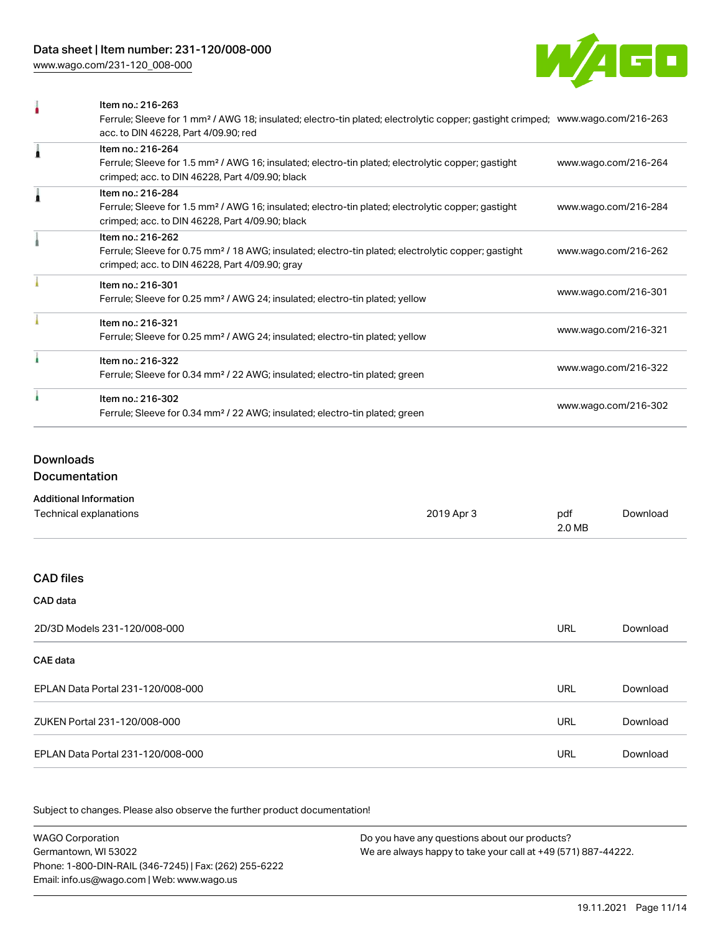[www.wago.com/231-120\\_008-000](http://www.wago.com/231-120_008-000)



|   | Item no.: 216-263                                                                                                                          |                      |
|---|--------------------------------------------------------------------------------------------------------------------------------------------|----------------------|
|   | Ferrule; Sleeve for 1 mm <sup>2</sup> / AWG 18; insulated; electro-tin plated; electrolytic copper; gastight crimped; www.wago.com/216-263 |                      |
|   | acc. to DIN 46228, Part 4/09.90; red                                                                                                       |                      |
|   | Item no.: 216-264                                                                                                                          |                      |
|   | Ferrule; Sleeve for 1.5 mm <sup>2</sup> / AWG 16; insulated; electro-tin plated; electrolytic copper; gastight                             | www.wago.com/216-264 |
|   | crimped; acc. to DIN 46228, Part 4/09.90; black                                                                                            |                      |
| ٠ | Item no.: 216-284                                                                                                                          |                      |
|   | Ferrule; Sleeve for 1.5 mm <sup>2</sup> / AWG 16; insulated; electro-tin plated; electrolytic copper; gastight                             | www.wago.com/216-284 |
|   | crimped; acc. to DIN 46228, Part 4/09.90; black                                                                                            |                      |
|   | Item no.: 216-262                                                                                                                          |                      |
|   | Ferrule; Sleeve for 0.75 mm <sup>2</sup> / 18 AWG; insulated; electro-tin plated; electrolytic copper; gastight                            | www.wago.com/216-262 |
|   | crimped; acc. to DIN 46228, Part 4/09.90; gray                                                                                             |                      |
|   | Item no.: 216-301                                                                                                                          |                      |
|   | Ferrule; Sleeve for 0.25 mm <sup>2</sup> / AWG 24; insulated; electro-tin plated; yellow                                                   | www.wago.com/216-301 |
|   | Item no.: 216-321                                                                                                                          |                      |
|   | Ferrule; Sleeve for 0.25 mm <sup>2</sup> / AWG 24; insulated; electro-tin plated; yellow                                                   | www.wago.com/216-321 |
|   | Item no.: 216-322                                                                                                                          |                      |
|   | Ferrule; Sleeve for 0.34 mm <sup>2</sup> / 22 AWG; insulated; electro-tin plated; green                                                    | www.wago.com/216-322 |
|   | Item no.: 216-302                                                                                                                          |                      |
|   | Ferrule; Sleeve for 0.34 mm <sup>2</sup> / 22 AWG; insulated; electro-tin plated; green                                                    | www.wago.com/216-302 |
|   |                                                                                                                                            |                      |

### Downloads

Documentation

#### Additional Information

| Technical explanations            | 2019 Apr 3 | pdf<br>2.0 MB | Download |
|-----------------------------------|------------|---------------|----------|
|                                   |            |               |          |
| <b>CAD files</b>                  |            |               |          |
| CAD data                          |            |               |          |
| 2D/3D Models 231-120/008-000      |            | <b>URL</b>    | Download |
| CAE data                          |            |               |          |
| EPLAN Data Portal 231-120/008-000 |            | <b>URL</b>    | Download |
| ZUKEN Portal 231-120/008-000      |            | <b>URL</b>    | Download |
| EPLAN Data Portal 231-120/008-000 |            | <b>URL</b>    | Download |

Subject to changes. Please also observe the further product documentation!

WAGO Corporation Germantown, WI 53022 Phone: 1-800-DIN-RAIL (346-7245) | Fax: (262) 255-6222 Email: info.us@wago.com | Web: www.wago.us Do you have any questions about our products? We are always happy to take your call at +49 (571) 887-44222.

19.11.2021 Page 11/14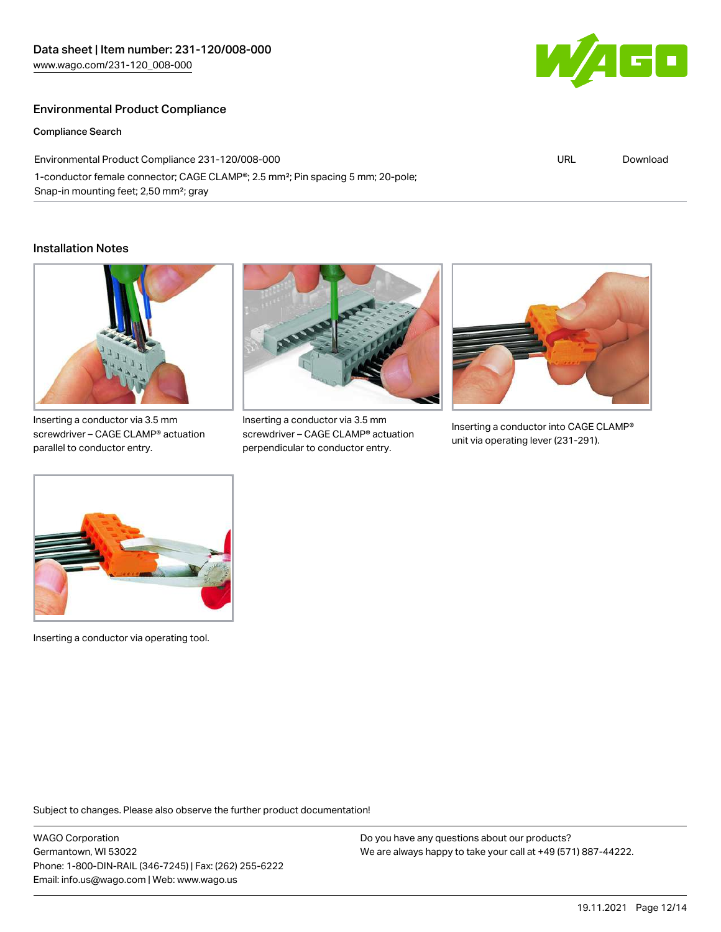### Environmental Product Compliance

#### Compliance Search

Environmental Product Compliance 231-120/008-000 1-conductor female connector; CAGE CLAMP®; 2.5 mm²; Pin spacing 5 mm; 20-pole; Snap-in mounting feet; 2,50 mm²; gray

#### Installation Notes



Inserting a conductor via 3.5 mm screwdriver – CAGE CLAMP® actuation parallel to conductor entry.



Inserting a conductor via 3.5 mm screwdriver – CAGE CLAMP® actuation perpendicular to conductor entry.



Inserting a conductor into CAGE CLAMP® unit via operating lever (231-291).



Inserting a conductor via operating tool.

Subject to changes. Please also observe the further product documentation!

WAGO Corporation Germantown, WI 53022 Phone: 1-800-DIN-RAIL (346-7245) | Fax: (262) 255-6222 Email: info.us@wago.com | Web: www.wago.us

Do you have any questions about our products? We are always happy to take your call at +49 (571) 887-44222.



URL [Download](https://www.wago.com/global/d/ComplianceLinkMediaContainer_231-120_008-000)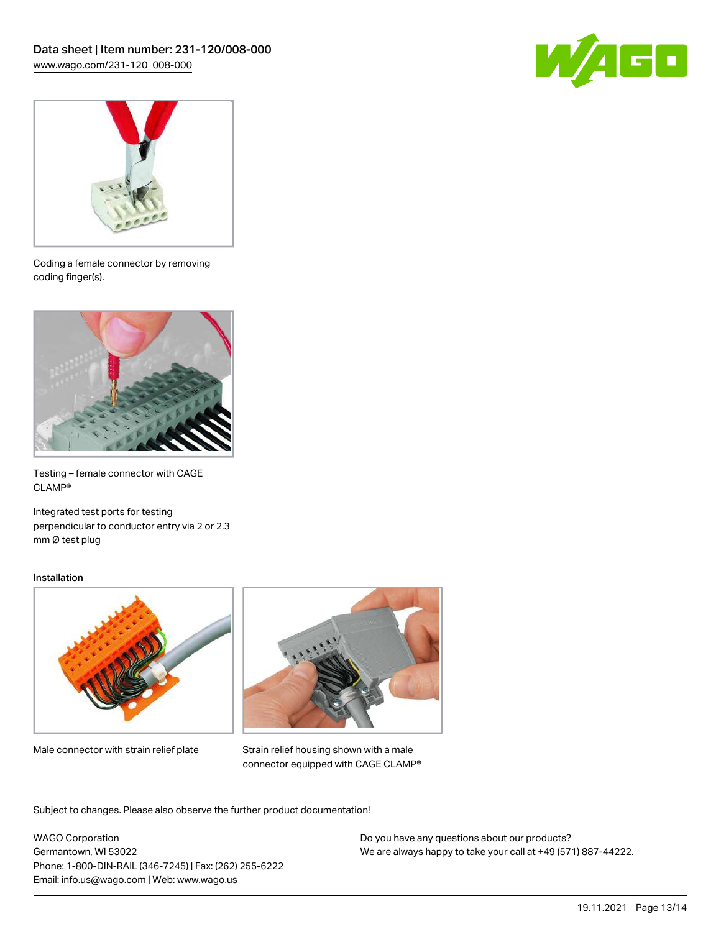



Coding a female connector by removing coding finger(s).



Testing – female connector with CAGE CLAMP®

Integrated test ports for testing perpendicular to conductor entry via 2 or 2.3 mm Ø test plug

#### Installation



Male connector with strain relief plate



Strain relief housing shown with a male connector equipped with CAGE CLAMP®

Subject to changes. Please also observe the further product documentation!

WAGO Corporation Germantown, WI 53022 Phone: 1-800-DIN-RAIL (346-7245) | Fax: (262) 255-6222 Email: info.us@wago.com | Web: www.wago.us